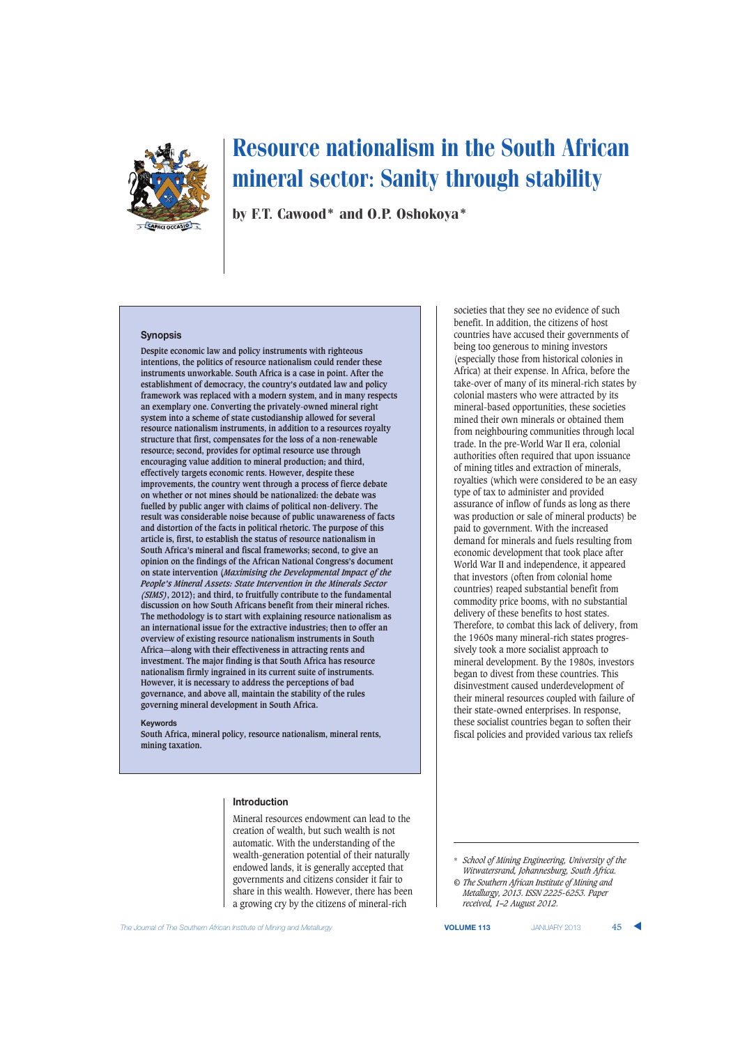

by F.T. Cawood\* and O.P. Oshokoya\*

## **Synopsis**

**Despite economic law and policy instruments with righteous intentions, the politics of resource nationalism could render these instruments unworkable. South Africa is a case in point. After the establishment of democracy, the country's outdated law and policy framework was replaced with a modern system, and in many respects an exemplary one. Converting the privately-owned mineral right system into a scheme of state custodianship allowed for several resource nationalism instruments, in addition to a resources royalty structure that first, compensates for the loss of a non-renewable resource; second, provides for optimal resource use through encouraging value addition to mineral production; and third, effectively targets economic rents. However, despite these improvements, the country went through a process of fierce debate on whether or not mines should be nationalized: the debate was fuelled by public anger with claims of political non-delivery. The result was considerable noise because of public unawareness of facts and distortion of the facts in political rhetoric. The purpose of this article is, first, to establish the status of resource nationalism in South Africa's mineral and fiscal frameworks; second, to give an opinion on the findings of the African National Congress's document on state intervention (***Maximising the Developmental Impact of the People's Mineral Assets: State Intervention in the Minerals Sector (SIMS)***, 2012); and third, to fruitfully contribute to the fundamental discussion on how South Africans benefit from their mineral riches. The methodology is to start with explaining resource nationalism as an international issue for the extractive industries; then to offer an overview of existing resource nationalism instruments in South Africa—along with their effectiveness in attracting rents and investment. The major finding is that South Africa has resource nationalism firmly ingrained in its current suite of instruments. However, it is necessary to address the perceptions of bad governance, and above all, maintain the stability of the rules governing mineral development in South Africa.**

#### **Keywords**

**South Africa, mineral policy, resource nationalism, mineral rents, mining taxation.**

#### **Introduction**

Mineral resources endowment can lead to the creation of wealth, but such wealth is not automatic. With the understanding of the wealth-generation potential of their naturally endowed lands, it is generally accepted that governments and citizens consider it fair to share in this wealth. However, there has been a growing cry by the citizens of mineral-rich

societies that they see no evidence of such benefit. In addition, the citizens of host countries have accused their governments of being too generous to mining investors (especially those from historical colonies in Africa) at their expense. In Africa, before the take-over of many of its mineral-rich states by colonial masters who were attracted by its mineral-based opportunities, these societies mined their own minerals or obtained them from neighbouring communities through local trade. In the pre-World War II era, colonial authorities often required that upon issuance of mining titles and extraction of minerals, royalties (which were considered to be an easy type of tax to administer and provided assurance of inflow of funds as long as there was production or sale of mineral products) be paid to government. With the increased demand for minerals and fuels resulting from economic development that took place after World War II and independence, it appeared that investors (often from colonial home countries) reaped substantial benefit from commodity price booms, with no substantial delivery of these benefits to host states. Therefore, to combat this lack of delivery, from the 1960s many mineral-rich states progressively took a more socialist approach to mineral development. By the 1980s, investors began to divest from these countries. This disinvestment caused underdevelopment of their mineral resources coupled with failure of their state-owned enterprises. In response, these socialist countries began to soften their fiscal policies and provided various tax reliefs

\* *School of Mining Engineering, University of the Witwatersrand, Johannesburg, South Africa.*

*© The Southern African Institute of Mining and Metallurgy, 2013. ISSN 2225-6253. Paper received, 1–2 August 2012.*

**The Journal of The Southern African Institute of Mining and Metallurgy <b>VICUME 113** JANUARY 2013 45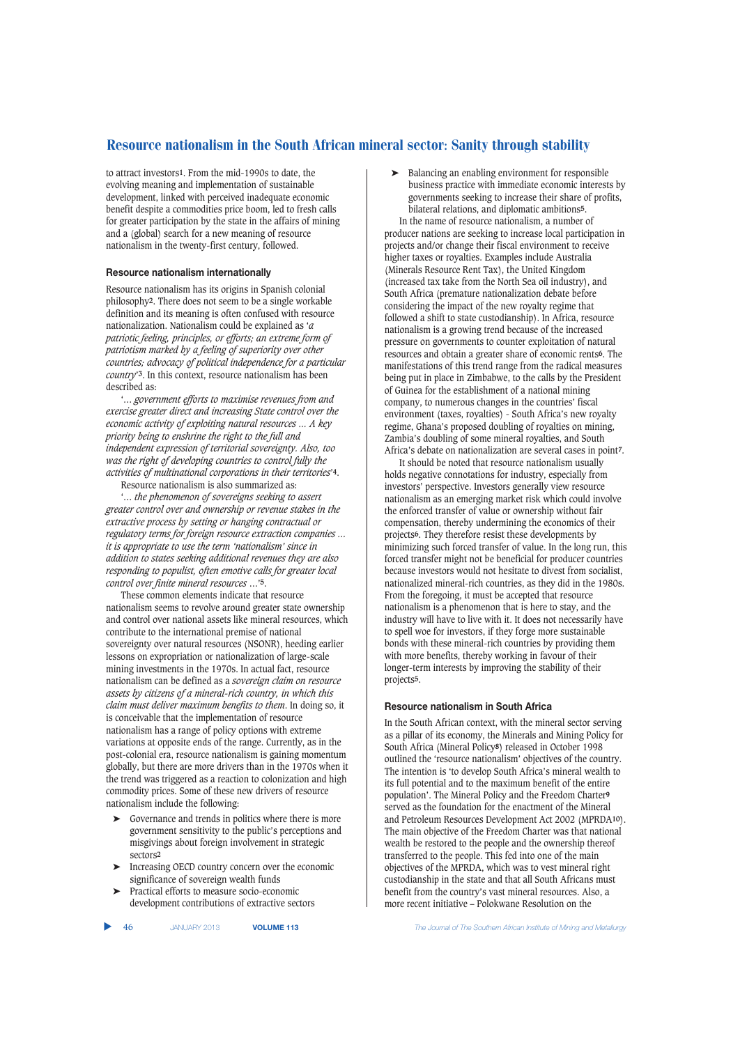to attract investors**1**. From the mid-1990s to date, the evolving meaning and implementation of sustainable development, linked with perceived inadequate economic benefit despite a commodities price boom, led to fresh calls for greater participation by the state in the affairs of mining and a (global) search for a new meaning of resource nationalism in the twenty-first century, followed.

## **Resource nationalism internationally**

Resource nationalism has its origins in Spanish colonial philosophy**2**. There does not seem to be a single workable definition and its meaning is often confused with resource nationalization. Nationalism could be explained as '*a patriotic feeling, principles, or efforts; an extreme form of patriotism marked by a feeling of superiority over other countries; advocacy of political independence for a particular country*'**3**. In this context, resource nationalism has been described as:

'… *government efforts to maximise revenues from and exercise greater direct and increasing State control over the economic activity of exploiting natural resources ... A key priority being to enshrine the right to the full and independent expression of territorial sovereignty. Also, too was the right of developing countries to control fully the activities of multinational corporations in their territories*'**4**.

Resource nationalism is also summarized as:

'… *the phenomenon of sovereigns seeking to assert greater control over and ownership or revenue stakes in the extractive process by setting or hanging contractual or regulatory terms for foreign resource extraction companies ... it is appropriate to use the term 'nationalism' since in addition to states seeking additional revenues they are also responding to populist, often emotive calls for greater local control over finite mineral resources* …'**5**.

These common elements indicate that resource nationalism seems to revolve around greater state ownership and control over national assets like mineral resources, which contribute to the international premise of national sovereignty over natural resources (NSONR), heeding earlier lessons on expropriation or nationalization of large-scale mining investments in the 1970s. In actual fact, resource nationalism can be defined as a *sovereign claim on resource assets by citizens of a mineral-rich country, in which this claim must deliver maximum benefits to them*. In doing so, it is conceivable that the implementation of resource nationalism has a range of policy options with extreme variations at opposite ends of the range. Currently, as in the post-colonial era, resource nationalism is gaining momentum globally, but there are more drivers than in the 1970s when it the trend was triggered as a reaction to colonization and high commodity prices. Some of these new drivers of resource nationalism include the following:

- ➤ Governance and trends in politics where there is more government sensitivity to the public's perceptions and misgivings about foreign involvement in strategic sectors**2**
- ➤ Increasing OECD country concern over the economic significance of sovereign wealth funds
- ➤ Practical efforts to measure socio-economic development contributions of extractive sectors

➤ Balancing an enabling environment for responsible business practice with immediate economic interests by governments seeking to increase their share of profits, bilateral relations, and diplomatic ambitions**5**. In the name of resource nationalism, a number of

producer nations are seeking to increase local participation in projects and/or change their fiscal environment to receive higher taxes or royalties. Examples include Australia (Minerals Resource Rent Tax), the United Kingdom (increased tax take from the North Sea oil industry), and South Africa (premature nationalization debate before considering the impact of the new royalty regime that followed a shift to state custodianship). In Africa, resource nationalism is a growing trend because of the increased pressure on governments to counter exploitation of natural resources and obtain a greater share of economic rents**6**. The manifestations of this trend range from the radical measures being put in place in Zimbabwe, to the calls by the President of Guinea for the establishment of a national mining company, to numerous changes in the countries' fiscal environment (taxes, royalties) - South Africa's new royalty regime, Ghana's proposed doubling of royalties on mining, Zambia's doubling of some mineral royalties, and South Africa's debate on nationalization are several cases in point**7**.

It should be noted that resource nationalism usually holds negative connotations for industry, especially from investors' perspective. Investors generally view resource nationalism as an emerging market risk which could involve the enforced transfer of value or ownership without fair compensation, thereby undermining the economics of their projects**6**. They therefore resist these developments by minimizing such forced transfer of value. In the long run, this forced transfer might not be beneficial for producer countries because investors would not hesitate to divest from socialist, nationalized mineral-rich countries, as they did in the 1980s. From the foregoing, it must be accepted that resource nationalism is a phenomenon that is here to stay, and the industry will have to live with it. It does not necessarily have to spell woe for investors, if they forge more sustainable bonds with these mineral-rich countries by providing them with more benefits, thereby working in favour of their longer-term interests by improving the stability of their projects**5**.

#### **Resource nationalism in South Africa**

In the South African context, with the mineral sector serving as a pillar of its economy, the Minerals and Mining Policy for South Africa (Mineral Policy**8**) released in October 1998 outlined the 'resource nationalism' objectives of the country. The intention is 'to develop South Africa's mineral wealth to its full potential and to the maximum benefit of the entire population'. The Mineral Policy and the Freedom Charter**9** served as the foundation for the enactment of the Mineral and Petroleum Resources Development Act 2002 (MPRDA**10**). The main objective of the Freedom Charter was that national wealth be restored to the people and the ownership thereof transferred to the people. This fed into one of the main objectives of the MPRDA, which was to vest mineral right custodianship in the state and that all South Africans must benefit from the country's vast mineral resources. Also, a more recent initiative – Polokwane Resolution on the

▲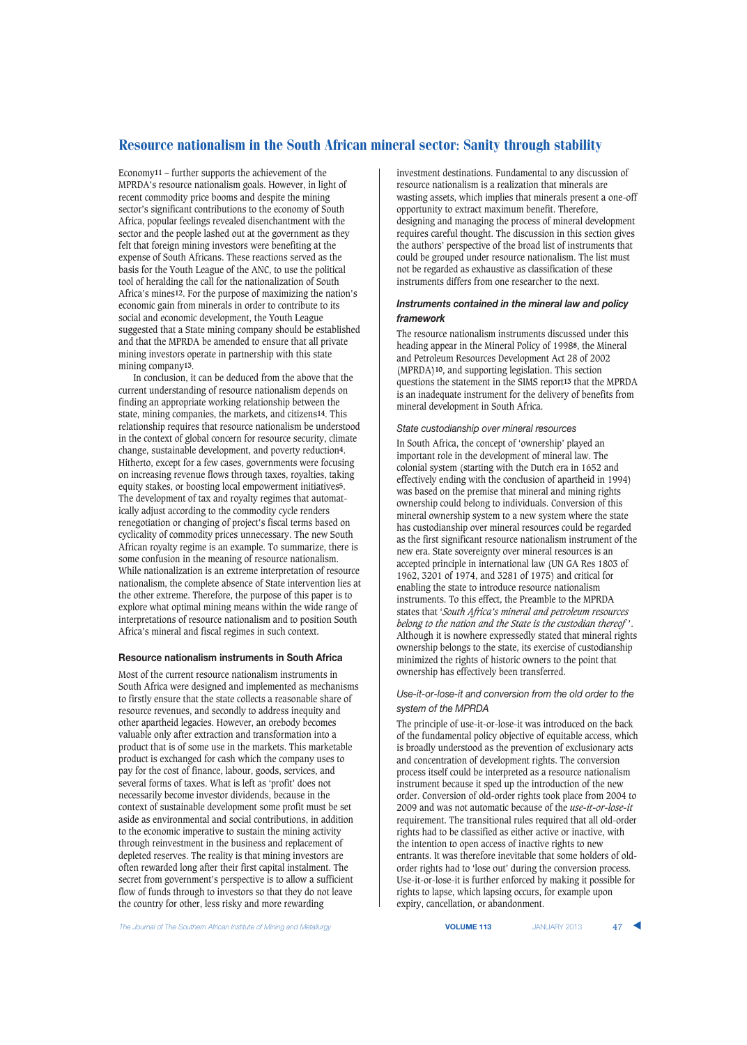Economy**11** – further supports the achievement of the MPRDA's resource nationalism goals. However, in light of recent commodity price booms and despite the mining sector's significant contributions to the economy of South Africa, popular feelings revealed disenchantment with the sector and the people lashed out at the government as they felt that foreign mining investors were benefiting at the expense of South Africans. These reactions served as the basis for the Youth League of the ANC, to use the political tool of heralding the call for the nationalization of South Africa's mines**12**. For the purpose of maximizing the nation's economic gain from minerals in order to contribute to its social and economic development, the Youth League suggested that a State mining company should be established and that the MPRDA be amended to ensure that all private mining investors operate in partnership with this state mining company**13**.

In conclusion, it can be deduced from the above that the current understanding of resource nationalism depends on finding an appropriate working relationship between the state, mining companies, the markets, and citizens**14**. This relationship requires that resource nationalism be understood in the context of global concern for resource security, climate change, sustainable development, and poverty reduction**4**. Hitherto, except for a few cases, governments were focusing on increasing revenue flows through taxes, royalties, taking equity stakes, or boosting local empowerment initiatives**5**. The development of tax and royalty regimes that automatically adjust according to the commodity cycle renders renegotiation or changing of project's fiscal terms based on cyclicality of commodity prices unnecessary. The new South African royalty regime is an example. To summarize, there is some confusion in the meaning of resource nationalism. While nationalization is an extreme interpretation of resource nationalism, the complete absence of State intervention lies at the other extreme. Therefore, the purpose of this paper is to explore what optimal mining means within the wide range of interpretations of resource nationalism and to position South Africa's mineral and fiscal regimes in such context.

#### **Resource nationalism instruments in South Africa**

Most of the current resource nationalism instruments in South Africa were designed and implemented as mechanisms to firstly ensure that the state collects a reasonable share of resource revenues, and secondly to address inequity and other apartheid legacies. However, an orebody becomes valuable only after extraction and transformation into a product that is of some use in the markets. This marketable product is exchanged for cash which the company uses to pay for the cost of finance, labour, goods, services, and several forms of taxes. What is left as 'profit' does not necessarily become investor dividends, because in the context of sustainable development some profit must be set aside as environmental and social contributions, in addition to the economic imperative to sustain the mining activity through reinvestment in the business and replacement of depleted reserves. The reality is that mining investors are often rewarded long after their first capital instalment. The secret from government's perspective is to allow a sufficient flow of funds through to investors so that they do not leave the country for other, less risky and more rewarding

investment destinations. Fundamental to any discussion of resource nationalism is a realization that minerals are wasting assets, which implies that minerals present a one-off opportunity to extract maximum benefit. Therefore, designing and managing the process of mineral development requires careful thought. The discussion in this section gives the authors' perspective of the broad list of instruments that could be grouped under resource nationalism. The list must not be regarded as exhaustive as classification of these instruments differs from one researcher to the next.

## *Instruments contained in the mineral law and policy framework*

The resource nationalism instruments discussed under this heading appear in the Mineral Policy of 1998**8**, the Mineral and Petroleum Resources Development Act 28 of 2002 (MPRDA)**10**, and supporting legislation. This section questions the statement in the SIMS report**13** that the MPRDA is an inadequate instrument for the delivery of benefits from mineral development in South Africa.

#### *State custodianship over mineral resources*

In South Africa, the concept of 'ownership' played an important role in the development of mineral law. The colonial system (starting with the Dutch era in 1652 and effectively ending with the conclusion of apartheid in 1994) was based on the premise that mineral and mining rights ownership could belong to individuals. Conversion of this mineral ownership system to a new system where the state has custodianship over mineral resources could be regarded as the first significant resource nationalism instrument of the new era. State sovereignty over mineral resources is an accepted principle in international law (UN GA Res 1803 of 1962, 3201 of 1974, and 3281 of 1975) and critical for enabling the state to introduce resource nationalism instruments. To this effect, the Preamble to the MPRDA states that '*South Africa's mineral and petroleum resources belong to the nation and the State is the custodian thereof* '. Although it is nowhere expressedly stated that mineral rights ownership belongs to the state, its exercise of custodianship minimized the rights of historic owners to the point that ownership has effectively been transferred.

### *Use-it-or-lose-it and conversion from the old order to the system of the MPRDA*

The principle of use-it-or-lose-it was introduced on the back of the fundamental policy objective of equitable access, which is broadly understood as the prevention of exclusionary acts and concentration of development rights. The conversion process itself could be interpreted as a resource nationalism instrument because it sped up the introduction of the new order. Conversion of old-order rights took place from 2004 to 2009 and was not automatic because of the *use-it-or-lose-it* requirement. The transitional rules required that all old-order rights had to be classified as either active or inactive, with the intention to open access of inactive rights to new entrants. It was therefore inevitable that some holders of oldorder rights had to 'lose out' during the conversion process. Use-it-or-lose-it is further enforced by making it possible for rights to lapse, which lapsing occurs, for example upon expiry, cancellation, or abandonment.

**The Journal of The Southern African Institute of Mining and Metallurgy <b>Victor Account 2014 VOLUME 113** JANUARY 2013 47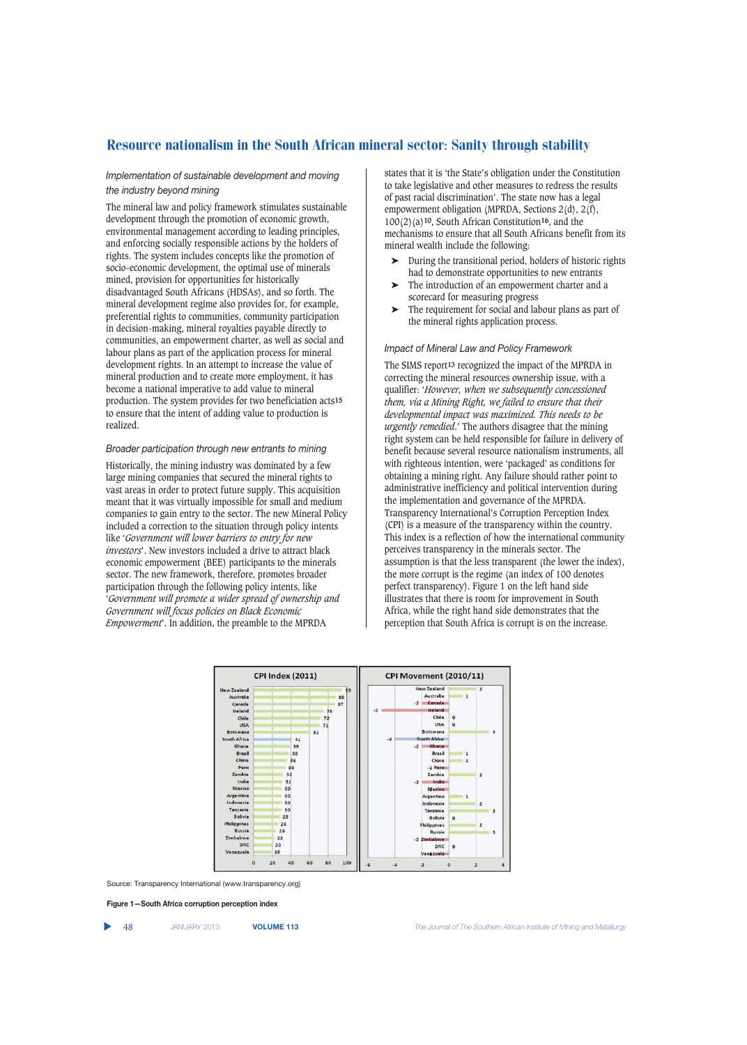## *Implementation of sustainable development and moving the industry beyond mining*

The mineral law and policy framework stimulates sustainable development through the promotion of economic growth, environmental management according to leading principles, and enforcing socially responsible actions by the holders of rights. The system includes concepts like the promotion of socio-economic development, the optimal use of minerals mined, provision for opportunities for historically disadvantaged South Africans (HDSAs), and so forth. The mineral development regime also provides for, for example, preferential rights to communities, community participation in decision-making, mineral royalties payable directly to communities, an empowerment charter, as well as social and labour plans as part of the application process for mineral development rights. In an attempt to increase the value of mineral production and to create more employment, it has become a national imperative to add value to mineral production. The system provides for two beneficiation acts**15** to ensure that the intent of adding value to production is realized.

## *Broader participation through new entrants to mining*

Historically, the mining industry was dominated by a few large mining companies that secured the mineral rights to vast areas in order to protect future supply. This acquisition meant that it was virtually impossible for small and medium companies to gain entry to the sector. The new Mineral Policy included a correction to the situation through policy intents like '*Government will lower barriers to entry for new investors*'. New investors included a drive to attract black economic empowerment (BEE) participants to the minerals sector. The new framework, therefore, promotes broader participation through the following policy intents, like '*Government will promote a wider spread of ownership and Government will focus policies on Black Economic Empowerment*'. In addition, the preamble to the MPRDA

states that it is 'the State's obligation under the Constitution to take legislative and other measures to redress the results of past racial discrimination'. The state now has a legal empowerment obligation (MPRDA, Sections  $2(d)$ ,  $2(f)$ , 100(2)(a)**10**, South African Constitution**16**, and the mechanisms to ensure that all South Africans benefit from its mineral wealth include the following:

- ➤ During the transitional period, holders of historic rights had to demonstrate opportunities to new entrants
- The introduction of an empowerment charter and a scorecard for measuring progress
- ➤ The requirement for social and labour plans as part of the mineral rights application process.

## *Impact of Mineral Law and Policy Framework*

The SIMS report**13** recognized the impact of the MPRDA in correcting the mineral resources ownership issue, with a qualifier: '*However, when we subsequently concessioned them, via a Mining Right, we failed to ensure that their developmental impact was maximized. This needs to be urgently remedied*.' The authors disagree that the mining right system can be held responsible for failure in delivery of benefit because several resource nationalism instruments, all with righteous intention, were 'packaged' as conditions for obtaining a mining right. Any failure should rather point to administrative inefficiency and political intervention during the implementation and governance of the MPRDA. Transparency International's Corruption Perception Index (CPI) is a measure of the transparency within the country. This index is a reflection of how the international community perceives transparency in the minerals sector. The assumption is that the less transparent (the lower the index), the more corrupt is the regime (an index of 100 denotes perfect transparency). Figure 1 on the left hand side illustrates that there is room for improvement in South Africa, while the right hand side demonstrates that the perception that South Africa is corrupt is on the increase.



Source: Transparency International (www.transparency.org)

**Figure 1—South Africa corruption perception index**

▲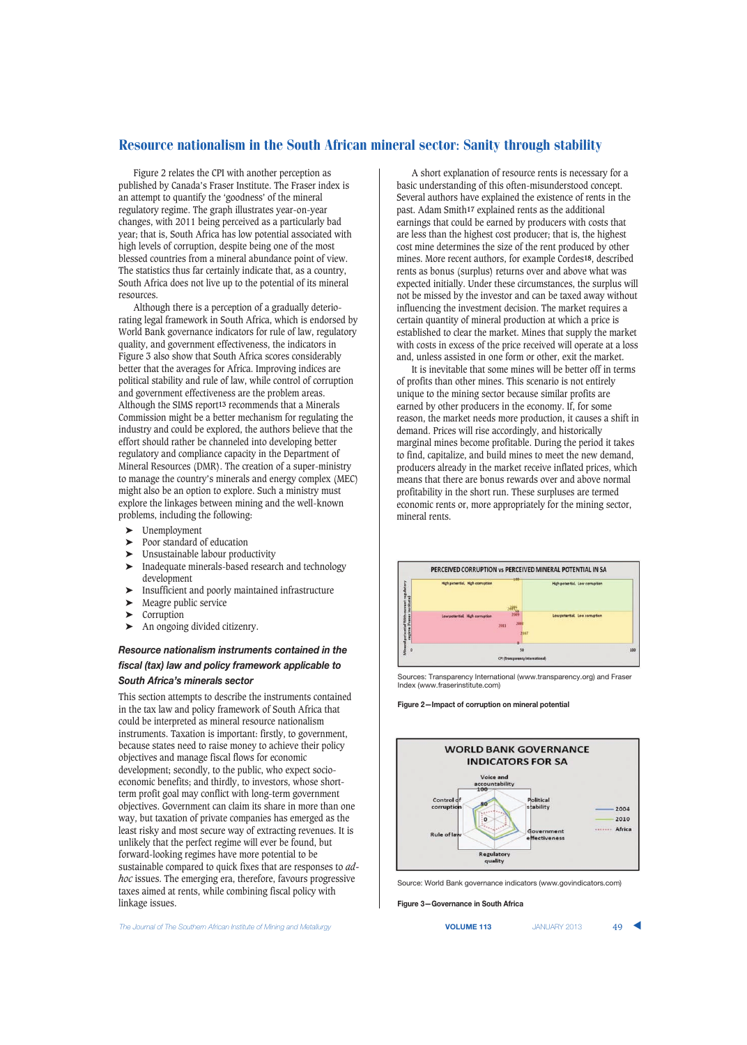Figure 2 relates the CPI with another perception as published by Canada's Fraser Institute. The Fraser index is an attempt to quantify the 'goodness' of the mineral regulatory regime. The graph illustrates year-on-year changes, with 2011 being perceived as a particularly bad year; that is, South Africa has low potential associated with high levels of corruption, despite being one of the most blessed countries from a mineral abundance point of view. The statistics thus far certainly indicate that, as a country, South Africa does not live up to the potential of its mineral resources.

Although there is a perception of a gradually deteriorating legal framework in South Africa, which is endorsed by World Bank governance indicators for rule of law, regulatory quality, and government effectiveness, the indicators in Figure 3 also show that South Africa scores considerably better that the averages for Africa. Improving indices are political stability and rule of law, while control of corruption and government effectiveness are the problem areas. Although the SIMS report**13** recommends that a Minerals Commission might be a better mechanism for regulating the industry and could be explored, the authors believe that the effort should rather be channeled into developing better regulatory and compliance capacity in the Department of Mineral Resources (DMR). The creation of a super-ministry to manage the country's minerals and energy complex (MEC) might also be an option to explore. Such a ministry must explore the linkages between mining and the well-known problems, including the following:

- ➤ Unemployment
- ► Poor standard of education<br>► Unsustainable labour produ
- Unsustainable labour productivity
- ➤ Inadequate minerals-based research and technology development
- ➤ Insufficient and poorly maintained infrastructure
- ➤ Meagre public service
- ➤ Corruption
- ➤ An ongoing divided citizenry.

## *Resource nationalism instruments contained in the fiscal (tax) law and policy framework applicable to South Africa's minerals sector*

This section attempts to describe the instruments contained in the tax law and policy framework of South Africa that could be interpreted as mineral resource nationalism instruments. Taxation is important: firstly, to government, because states need to raise money to achieve their policy objectives and manage fiscal flows for economic development; secondly, to the public, who expect socioeconomic benefits; and thirdly, to investors, whose shortterm profit goal may conflict with long-term government objectives. Government can claim its share in more than one way, but taxation of private companies has emerged as the least risky and most secure way of extracting revenues. It is unlikely that the perfect regime will ever be found, but forward-looking regimes have more potential to be sustainable compared to quick fixes that are responses to *adhoc* issues. The emerging era, therefore, favours progressive taxes aimed at rents, while combining fiscal policy with linkage issues.

**The Journal of The Southern African Institute of Mining and Metallurgy <b>VICUME 113** JANUARY 2013 49

A short explanation of resource rents is necessary for a basic understanding of this often-misunderstood concept. Several authors have explained the existence of rents in the past. Adam Smith**17** explained rents as the additional earnings that could be earned by producers with costs that are less than the highest cost producer; that is, the highest cost mine determines the size of the rent produced by other mines. More recent authors, for example Cordes**18**, described rents as bonus (surplus) returns over and above what was expected initially. Under these circumstances, the surplus will not be missed by the investor and can be taxed away without influencing the investment decision. The market requires a certain quantity of mineral production at which a price is established to clear the market. Mines that supply the market with costs in excess of the price received will operate at a loss and, unless assisted in one form or other, exit the market.

It is inevitable that some mines will be better off in terms of profits than other mines. This scenario is not entirely unique to the mining sector because similar profits are earned by other producers in the economy. If, for some reason, the market needs more production, it causes a shift in demand. Prices will rise accordingly, and historically marginal mines become profitable. During the period it takes to find, capitalize, and build mines to meet the new demand, producers already in the market receive inflated prices, which means that there are bonus rewards over and above normal profitability in the short run. These surpluses are termed economic rents or, more appropriately for the mining sector, mineral rents.



Sources: Transparency International (www.transparency.org) and Fraser Index (www.fraserinstitute.com)

**Figure 2—Impact of corruption on mineral potential**



Source: World Bank governance indicators (www.govindicators.com)

**Figure 3—Governance in South Africa**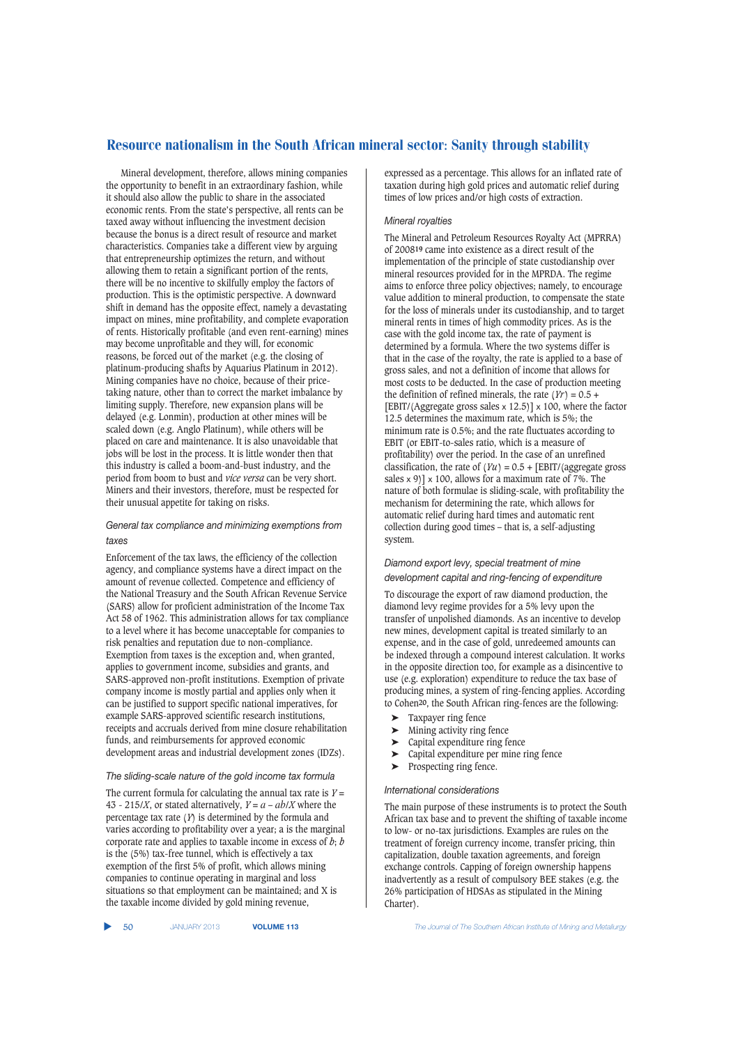Mineral development, therefore, allows mining companies the opportunity to benefit in an extraordinary fashion, while it should also allow the public to share in the associated economic rents. From the state's perspective, all rents can be taxed away without influencing the investment decision because the bonus is a direct result of resource and market characteristics. Companies take a different view by arguing that entrepreneurship optimizes the return, and without allowing them to retain a significant portion of the rents, there will be no incentive to skilfully employ the factors of production. This is the optimistic perspective. A downward shift in demand has the opposite effect, namely a devastating impact on mines, mine profitability, and complete evaporation of rents. Historically profitable (and even rent-earning) mines may become unprofitable and they will, for economic reasons, be forced out of the market (e.g. the closing of platinum-producing shafts by Aquarius Platinum in 2012). Mining companies have no choice, because of their pricetaking nature, other than to correct the market imbalance by limiting supply. Therefore, new expansion plans will be delayed (e.g. Lonmin), production at other mines will be scaled down (e.g. Anglo Platinum), while others will be placed on care and maintenance. It is also unavoidable that jobs will be lost in the process. It is little wonder then that this industry is called a boom-and-bust industry, and the period from boom to bust and *vice versa* can be very short. Miners and their investors, therefore, must be respected for their unusual appetite for taking on risks.

## *General tax compliance and minimizing exemptions from taxes*

Enforcement of the tax laws, the efficiency of the collection agency, and compliance systems have a direct impact on the amount of revenue collected. Competence and efficiency of the National Treasury and the South African Revenue Service (SARS) allow for proficient administration of the Income Tax Act 58 of 1962. This administration allows for tax compliance to a level where it has become unacceptable for companies to risk penalties and reputation due to non-compliance. Exemption from taxes is the exception and, when granted, applies to government income, subsidies and grants, and SARS-approved non-profit institutions. Exemption of private company income is mostly partial and applies only when it can be justified to support specific national imperatives, for example SARS-approved scientific research institutions, receipts and accruals derived from mine closure rehabilitation funds, and reimbursements for approved economic development areas and industrial development zones (IDZs).

#### *The sliding-scale nature of the gold income tax formula*

The current formula for calculating the annual tax rate is  $Y =$ 43 - 215/*X*, or stated alternatively,  $Y = a - ab/X$  where the percentage tax rate (*Y*) is determined by the formula and varies according to profitability over a year; a is the marginal corporate rate and applies to taxable income in excess of *b*; *b* is the (5%) tax-free tunnel, which is effectively a tax exemption of the first 5% of profit, which allows mining companies to continue operating in marginal and loss situations so that employment can be maintained; and X is the taxable income divided by gold mining revenue,

expressed as a percentage. This allows for an inflated rate of taxation during high gold prices and automatic relief during times of low prices and/or high costs of extraction.

## *Mineral royalties*

The Mineral and Petroleum Resources Royalty Act (MPRRA) of 2008**19** came into existence as a direct result of the implementation of the principle of state custodianship over mineral resources provided for in the MPRDA. The regime aims to enforce three policy objectives; namely, to encourage value addition to mineral production, to compensate the state for the loss of minerals under its custodianship, and to target mineral rents in times of high commodity prices. As is the case with the gold income tax, the rate of payment is determined by a formula. Where the two systems differ is that in the case of the royalty, the rate is applied to a base of gross sales, and not a definition of income that allows for most costs to be deducted. In the case of production meeting the definition of refined minerals, the rate  $(Yr) = 0.5 +$ [EBIT/(Aggregate gross sales  $\times$  12.5)]  $\times$  100, where the factor 12.5 determines the maximum rate, which is 5%; the minimum rate is 0.5%; and the rate fluctuates according to EBIT (or EBIT-to-sales ratio, which is a measure of profitability) over the period. In the case of an unrefined classification, the rate of  $(Yu) = 0.5 + [EBIT/(aggregate gross$ sales  $\times$  9)]  $\times$  100, allows for a maximum rate of 7%. The nature of both formulae is sliding-scale, with profitability the mechanism for determining the rate, which allows for automatic relief during hard times and automatic rent collection during good times – that is, a self-adjusting system.

## *Diamond export levy, special treatment of mine development capital and ring-fencing of expenditure*

To discourage the export of raw diamond production, the diamond levy regime provides for a 5% levy upon the transfer of unpolished diamonds. As an incentive to develop new mines, development capital is treated similarly to an expense, and in the case of gold, unredeemed amounts can be indexed through a compound interest calculation. It works in the opposite direction too, for example as a disincentive to use (e.g. exploration) expenditure to reduce the tax base of producing mines, a system of ring-fencing applies. According to Cohen**20**, the South African ring-fences are the following:

- ➤ Taxpayer ring fence
- ➤ Mining activity ring fence
- $\sum_{\text{Capital expenditure}}$  capital expenditure ring fence
- Capital expenditure per mine ring fence
- ➤ Prospecting ring fence.

#### *International considerations*

The main purpose of these instruments is to protect the South African tax base and to prevent the shifting of taxable income to low- or no-tax jurisdictions. Examples are rules on the treatment of foreign currency income, transfer pricing, thin capitalization, double taxation agreements, and foreign exchange controls. Capping of foreign ownership happens inadvertently as a result of compulsory BEE stakes (e.g. the 26% participation of HDSAs as stipulated in the Mining Charter).

▲

50 JANUARY 2013 **VOLUME 113** *The Journal of The Southern African Institute of Mining and Metallurgy*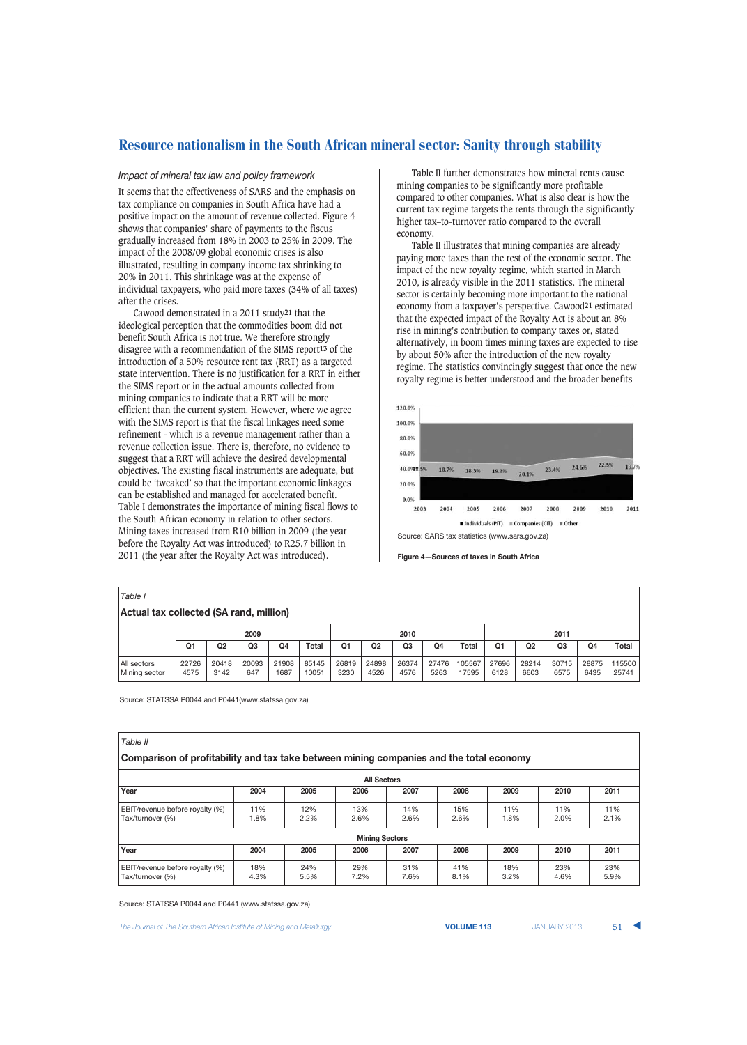#### *Impact of mineral tax law and policy framework*

It seems that the effectiveness of SARS and the emphasis on tax compliance on companies in South Africa have had a positive impact on the amount of revenue collected. Figure 4 shows that companies' share of payments to the fiscus gradually increased from 18% in 2003 to 25% in 2009. The impact of the 2008/09 global economic crises is also illustrated, resulting in company income tax shrinking to 20% in 2011. This shrinkage was at the expense of individual taxpayers, who paid more taxes (34% of all taxes) after the crises.

Cawood demonstrated in a 2011 study**21** that the ideological perception that the commodities boom did not benefit South Africa is not true. We therefore strongly disagree with a recommendation of the SIMS report**13** of the introduction of a 50% resource rent tax (RRT) as a targeted state intervention. There is no justification for a RRT in either the SIMS report or in the actual amounts collected from mining companies to indicate that a RRT will be more efficient than the current system. However, where we agree with the SIMS report is that the fiscal linkages need some refinement - which is a revenue management rather than a revenue collection issue. There is, therefore, no evidence to suggest that a RRT will achieve the desired developmental objectives. The existing fiscal instruments are adequate, but could be 'tweaked' so that the important economic linkages can be established and managed for accelerated benefit. Table I demonstrates the importance of mining fiscal flows to the South African economy in relation to other sectors. Mining taxes increased from R10 billion in 2009 (the year before the Royalty Act was introduced) to R25.7 billion in 2011 (the year after the Royalty Act was introduced).

Table II further demonstrates how mineral rents cause mining companies to be significantly more profitable compared to other companies. What is also clear is how the current tax regime targets the rents through the significantly higher tax–to-turnover ratio compared to the overall economy.

Table II illustrates that mining companies are already paying more taxes than the rest of the economic sector. The impact of the new royalty regime, which started in March 2010, is already visible in the 2011 statistics. The mineral sector is certainly becoming more important to the national economy from a taxpayer's perspective. Cawood**21** estimated that the expected impact of the Royalty Act is about an 8% rise in mining's contribution to company taxes or, stated alternatively, in boom times mining taxes are expected to rise by about 50% after the introduction of the new royalty regime. The statistics convincingly suggest that once the new royalty regime is better understood and the broader benefits



Source: SARS tax statistics (www.sars.gov.za)

#### **Figure 4—Sources of taxes in South Africa**

| Table I                                 |               |                |                |               |                |               |                |                |               |                 |               |                |                |               |                 |
|-----------------------------------------|---------------|----------------|----------------|---------------|----------------|---------------|----------------|----------------|---------------|-----------------|---------------|----------------|----------------|---------------|-----------------|
| Actual tax collected (SA rand, million) |               |                |                |               |                |               |                |                |               |                 |               |                |                |               |                 |
|                                         | 2009          |                |                |               | 2010           |               |                |                | 2011          |                 |               |                |                |               |                 |
|                                         | Q1            | Q <sub>2</sub> | Q <sub>3</sub> | Q4            | Total          | Q1            | Q <sub>2</sub> | Q <sub>3</sub> | Q4            | <b>Total</b>    | Q1            | Q <sub>2</sub> | Q <sub>3</sub> | Q4            | <b>Total</b>    |
| All sectors<br>Mining sector            | 22726<br>4575 | 20418<br>3142  | 20093<br>647   | 21908<br>1687 | 85145<br>10051 | 26819<br>3230 | 24898<br>4526  | 26374<br>4576  | 27476<br>5263 | 105567<br>17595 | 27696<br>6128 | 28214<br>6603  | 30715<br>6575  | 28875<br>6435 | 115500<br>25741 |

Source: STATSSA P0044 and P0441(www.statssa.gov.za)

| Table II                                                                                |             |             |             |             |             |             |             |             |  |  |  |  |
|-----------------------------------------------------------------------------------------|-------------|-------------|-------------|-------------|-------------|-------------|-------------|-------------|--|--|--|--|
| Comparison of profitability and tax take between mining companies and the total economy |             |             |             |             |             |             |             |             |  |  |  |  |
| <b>All Sectors</b>                                                                      |             |             |             |             |             |             |             |             |  |  |  |  |
| Year                                                                                    | 2004        | 2005        | 2006        | 2007        | 2008        | 2009        | 2010        | 2011        |  |  |  |  |
| EBIT/revenue before royalty (%)<br>Tax/turnover (%)                                     | 11%<br>1.8% | 12%<br>2.2% | 13%<br>2.6% | 14%<br>2.6% | 15%<br>2.6% | 11%<br>1.8% | 11%<br>2.0% | 11%<br>2.1% |  |  |  |  |
| <b>Mining Sectors</b>                                                                   |             |             |             |             |             |             |             |             |  |  |  |  |
| Year                                                                                    | 2004        | 2005        | 2006        | 2007        | 2008        | 2009        | 2010        | 2011        |  |  |  |  |
| EBIT/revenue before royalty (%)<br>Tax/turnover (%)                                     | 18%<br>4.3% | 24%<br>5.5% | 29%<br>7.2% | 31%<br>7.6% | 41%<br>8.1% | 18%<br>3.2% | 23%<br>4.6% | 23%<br>5.9% |  |  |  |  |

Source: STATSSA P0044 and P0441 (www.statssa.gov.za)

**The Journal of The Southern African Institute of Mining and Metallurgy <b>Victor Collection Control Control Control VOLUME 113** JANUARY 2013 **51**